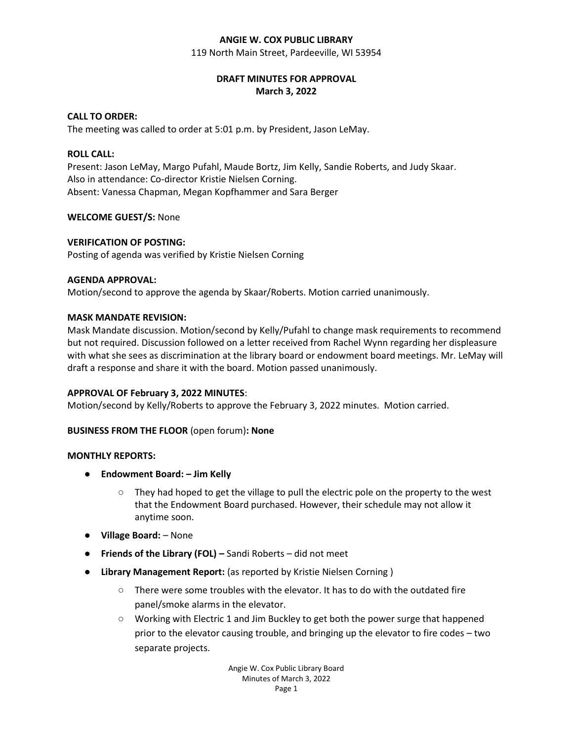### **ANGIE W. COX PUBLIC LIBRARY**

119 North Main Street, Pardeeville, WI 53954

# **DRAFT MINUTES FOR APPROVAL March 3, 2022**

### **CALL TO ORDER:**

The meeting was called to order at 5:01 p.m. by President, Jason LeMay.

### **ROLL CALL:**

Present: Jason LeMay, Margo Pufahl, Maude Bortz, Jim Kelly, Sandie Roberts, and Judy Skaar. Also in attendance: Co-director Kristie Nielsen Corning. Absent: Vanessa Chapman, Megan Kopfhammer and Sara Berger

### **WELCOME GUEST/S:** None

### **VERIFICATION OF POSTING:**

Posting of agenda was verified by Kristie Nielsen Corning

### **AGENDA APPROVAL:**

Motion/second to approve the agenda by Skaar/Roberts. Motion carried unanimously.

### **MASK MANDATE REVISION:**

Mask Mandate discussion. Motion/second by Kelly/Pufahl to change mask requirements to recommend but not required. Discussion followed on a letter received from Rachel Wynn regarding her displeasure with what she sees as discrimination at the library board or endowment board meetings. Mr. LeMay will draft a response and share it with the board. Motion passed unanimously.

### **APPROVAL OF February 3, 2022 MINUTES**:

Motion/second by Kelly/Roberts to approve the February 3, 2022 minutes. Motion carried.

### **BUSINESS FROM THE FLOOR** (open forum)**: None**

### **MONTHLY REPORTS:**

- **Endowment Board: – Jim Kelly**
	- They had hoped to get the village to pull the electric pole on the property to the west that the Endowment Board purchased. However, their schedule may not allow it anytime soon.
- **Village Board:** None
- **Friends of the Library (FOL) –** Sandi Roberts did not meet
- **Library Management Report:** (as reported by Kristie Nielsen Corning )
	- There were some troubles with the elevator. It has to do with the outdated fire panel/smoke alarms in the elevator.
	- Working with Electric 1 and Jim Buckley to get both the power surge that happened prior to the elevator causing trouble, and bringing up the elevator to fire codes – two separate projects.